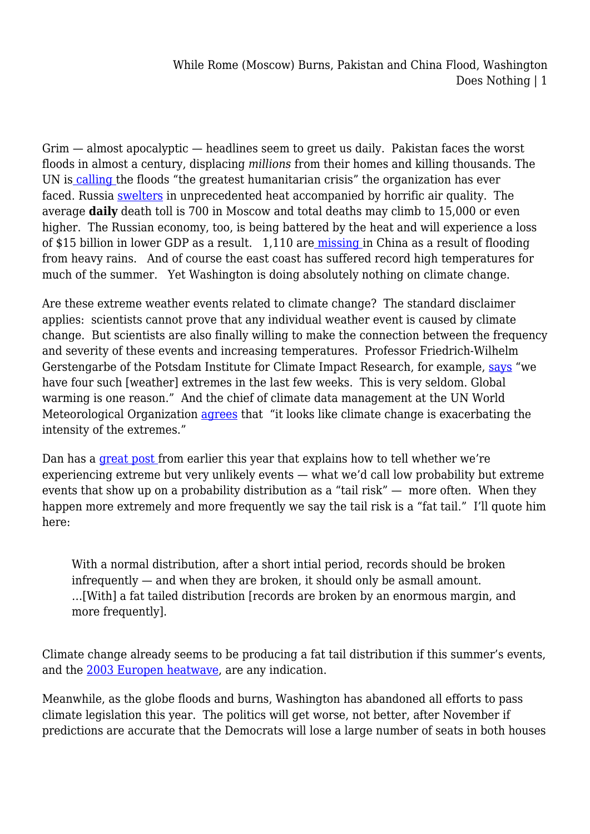While Rome (Moscow) Burns, Pakistan and China Flood, Washington Does Nothing | 1

Grim — almost apocalyptic — headlines seem to greet us daily. Pakistan faces the worst floods in almost a century, displacing *millions* from their homes and killing thousands. The UN i[s calling](http://www.examiner.com/x-4454-Geopolitics-Examiner~y2010m8d10-UN-says-Pakistan-floods-worst-in-history) the floods "the greatest humanitarian crisis" the organization has ever faced. Russia [swelters](http://www.bloomberg.com/news/2010-08-10/russia-may-lose-15-000-lives-15-billion-of-economic-output-in-heat-wave.html) in unprecedented heat accompanied by horrific air quality. The average **daily** death toll is 700 in Moscow and total deaths may climb to 15,000 or even higher. The Russian economy, too, is being battered by the heat and will experience a loss of \$15 billion in lower GDP as a result. 1,110 ar[e missing](http://news.yahoo.com/s/ap/20100809/ap_on_re_as/as_asia_floods) in China as a result of flooding from heavy rains. And of course the east coast has suffered record high temperatures for much of the summer. Yet Washington is doing absolutely nothing on climate change.

Are these extreme weather events related to climate change? The standard disclaimer applies: scientists cannot prove that any individual weather event is caused by climate change. But scientists are also finally willing to make the connection between the frequency and severity of these events and increasing temperatures. Professor Friedrich-Wilhelm Gerstengarbe of the Potsdam Institute for Climate Impact Research, for example, [says](http://www.reuters.com/article/idUSTRE6782DU20100809) "we have four such [weather] extremes in the last few weeks. This is very seldom. Global warming is one reason." And the chief of climate data management at the UN World Meteorological Organization [agrees](http://www.reuters.com/article/idUSTRE6782DU20100809) that "it looks like climate change is exacerbating the intensity of the extremes."

Dan has a [great post f](http://legalplanet.wordpress.com/2010/02/03/extreme-events/)rom earlier this year that explains how to tell whether we're experiencing extreme but very unlikely events — what we'd call low probability but extreme events that show up on a probability distribution as a "tail risk" — more often. When they happen more extremely and more frequently we say the tail risk is a "fat tail." I'll quote him here:

With a normal distribution, after a short intial period, records should be broken infrequently — and when they are broken, it should only be asmall amount. …[With] a fat tailed distribution [records are broken by an enormous margin, and more frequently].

Climate change already seems to be producing a fat tail distribution if this summer's events, and the [2003 Europen heatwave,](http://legalplanet.wordpress.com/2010/07/09/are-heat-waves-related-to-climate-change/) are any indication.

Meanwhile, as the globe floods and burns, Washington has abandoned all efforts to pass climate legislation this year. The politics will get worse, not better, after November if predictions are accurate that the Democrats will lose a large number of seats in both houses